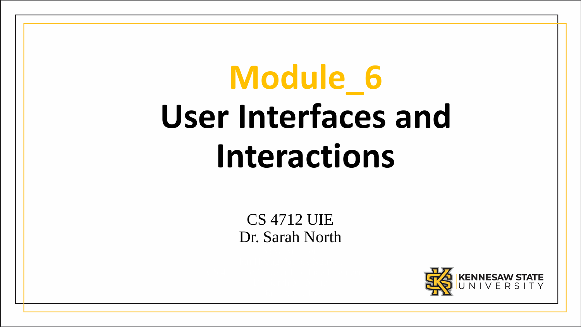# **Module\_6 User Interfaces and Interactions**

CS 4712 UIE Dr. Sarah North

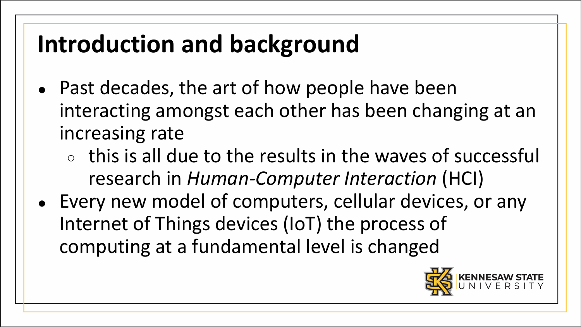### **Introduction and background**

- Past decades, the art of how people have been interacting amongst each other has been changing at an increasing rate
	- $\circ$  this is all due to the results in the waves of successful research in *Human-Computer Interaction* (HCI)
- Every new model of computers, cellular devices, or any Internet of Things devices (IoT) the process of computing at a fundamental level is changed

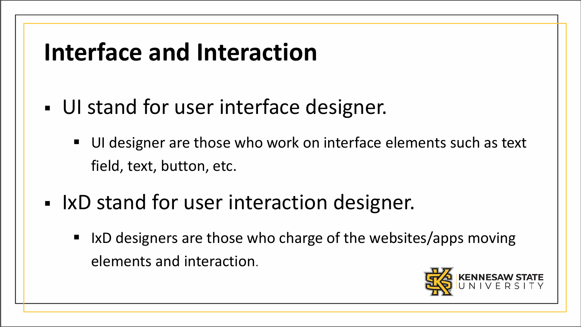#### **Interface and Interaction**

- UI stand for user interface designer.
	- UI designer are those who work on interface elements such as text field, text, button, etc.
- IxD stand for user interaction designer.
	- If  $\blacksquare$  IxD designers are those who charge of the websites/apps moving elements and interaction.

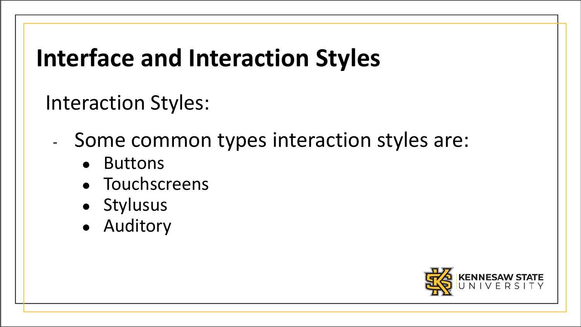Interaction Styles:

- Some common types interaction styles are:
	- Buttons
	- Touchscreens
	- Stylusus
	- Auditory

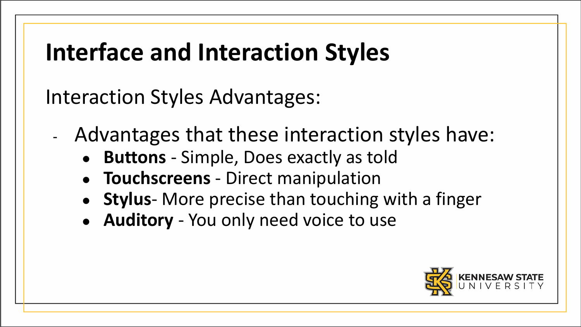Interaction Styles Advantages:

- Advantages that these interaction styles have:
	- **Buttons** Simple, Does exactly as told
	- **Touchscreens** Direct manipulation
	- **Stylus** More precise than touching with a finger
	- **Auditory** You only need voice to use

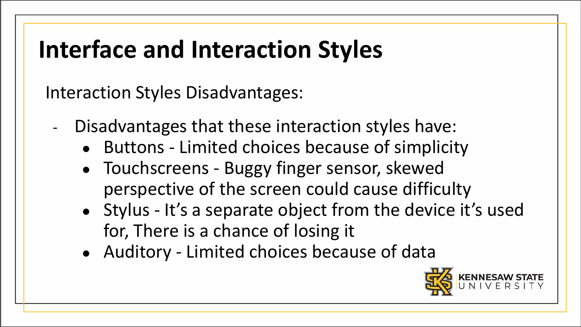Interaction Styles Disadvantages:

- Disadvantages that these interaction styles have:
	- Buttons Limited choices because of simplicity
	- Touchscreens Buggy finger sensor, skewed perspective of the screen could cause difficulty
	- Stylus It's a separate object from the device it's used for, There is a chance of losing it
	- Auditory Limited choices because of data

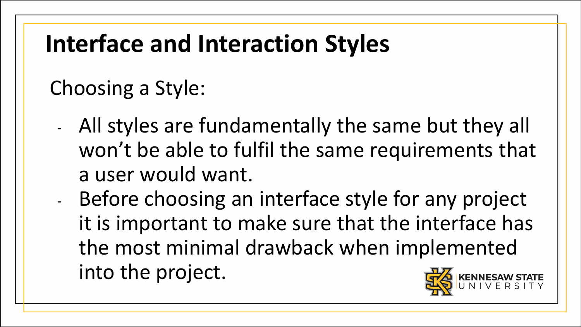#### Choosing a Style:

- All styles are fundamentally the same but they all won't be able to fulfil the same requirements that a user would want.
- Before choosing an interface style for any project it is important to make sure that the interface has the most minimal drawback when implemented into the project.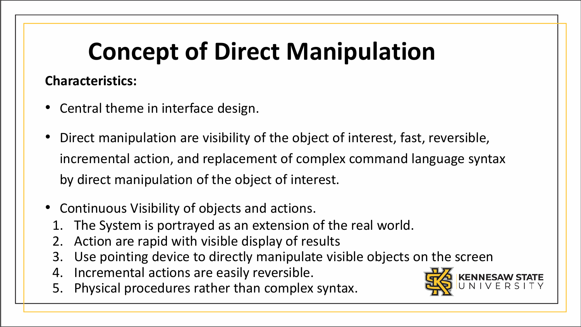#### **Characteristics:**

- Central theme in interface design.
- Direct manipulation are visibility of the object of interest, fast, reversible, incremental action, and replacement of complex command language syntax by direct manipulation of the object of interest.
- Continuous Visibility of objects and actions.
	- The System is portrayed as an extension of the real world.
	- 2. Action are rapid with visible display of results
	- 3. Use pointing device to directly manipulate visible objects on the screen
	- 4. Incremental actions are easily reversible.
	- 5. Physical procedures rather than complex syntax.

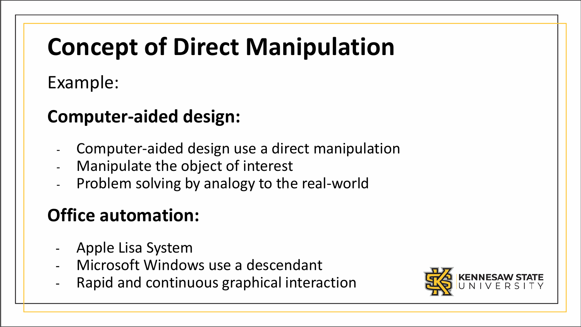Example:

#### **Computer-aided design:**

- Computer-aided design use a direct manipulation
- Manipulate the object of interest
- Problem solving by analogy to the real-world

#### **Office automation:**

- Apple Lisa System
- Microsoft Windows use a descendant
- Rapid and continuous graphical interaction

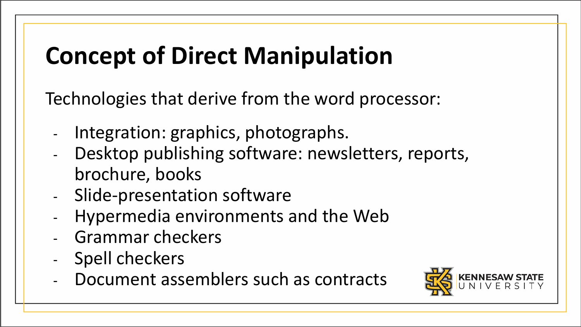Technologies that derive from the word processor:

- Integration: graphics, photographs.
- Desktop publishing software: newsletters, reports, brochure, books
- Slide-presentation software
- Hypermedia environments and the Web
- Grammar checkers
- Spell checkers
- Document assemblers such as contracts

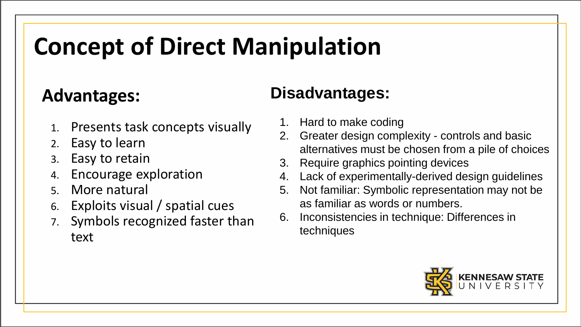#### **Advantages:**

- 1. Presents task concepts visually
- 2. Easy to learn
- Easy to retain
- 4. Encourage exploration
- 5. More natural
- 6. Exploits visual / spatial cues
- 7. Symbols recognized faster than text

#### **Disadvantages:**

- 1. Hard to make coding
- 2. Greater design complexity controls and basic alternatives must be chosen from a pile of choices
- 3. Require graphics pointing devices
- 4. Lack of experimentally-derived design guidelines
- 5. Not familiar: Symbolic representation may not be as familiar as words or numbers.
- 6. Inconsistencies in technique: Differences in techniques

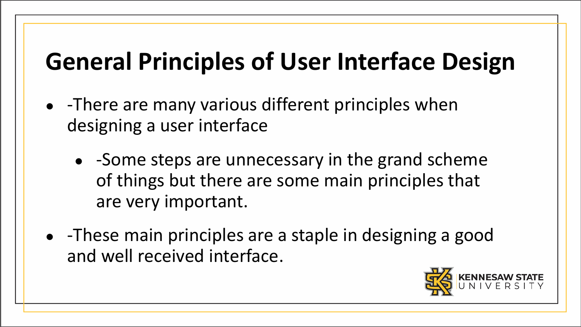- -There are many various different principles when designing a user interface
	- -Some steps are unnecessary in the grand scheme of things but there are some main principles that are very important.
- -These main principles are a staple in designing a good and well received interface.

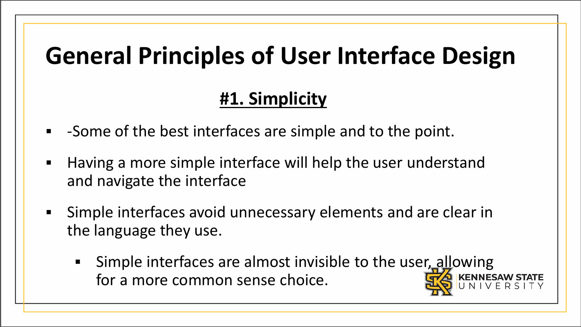#### **#1. Simplicity**

- -Some of the best interfaces are simple and to the point.
- Having a more simple interface will help the user understand and navigate the interface
- Simple interfaces avoid unnecessary elements and are clear in the language they use.
	- Simple interfaces are almost invisible to the user, allowing for a more common sense choice.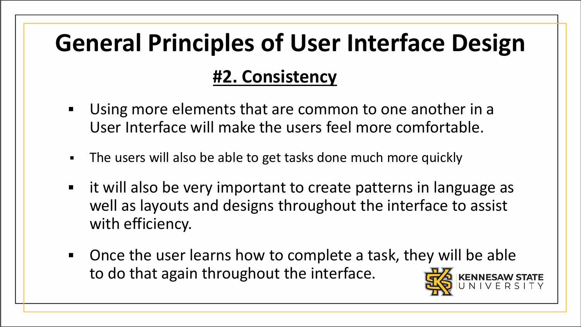# **General Principles of User Interface Design #2. Consistency**

- Using more elements that are common to one another in a User Interface will make the users feel more comfortable.
- The users will also be able to get tasks done much more quickly
- it will also be very important to create patterns in language as well as layouts and designs throughout the interface to assist with efficiency.
- Once the user learns how to complete a task, they will be able to do that again throughout the interface.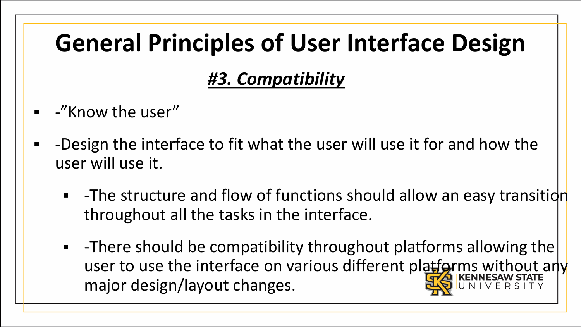### **General Principles of User Interface Design** *#3. Compatibility*

- -"Know the user"
- -Design the interface to fit what the user will use it for and how the user will use it.
	- **-** -The structure and flow of functions should allow an easy transition throughout all the tasks in the interface.
	- $\blacksquare$  -There should be compatibility throughout platforms allowing the user to use the interface on various different platforms without any major design/layout changes.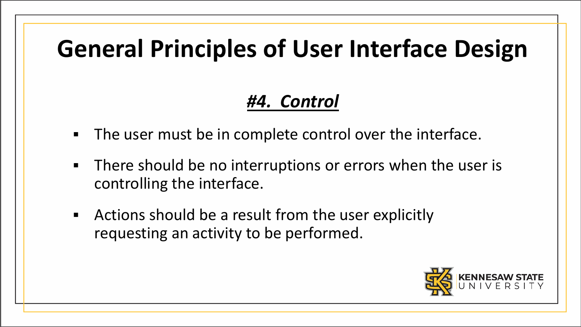#### *#4. Control*

- The user must be in complete control over the interface.
- **There should be no interruptions or errors when the user is** controlling the interface.
- Actions should be a result from the user explicitly requesting an activity to be performed.

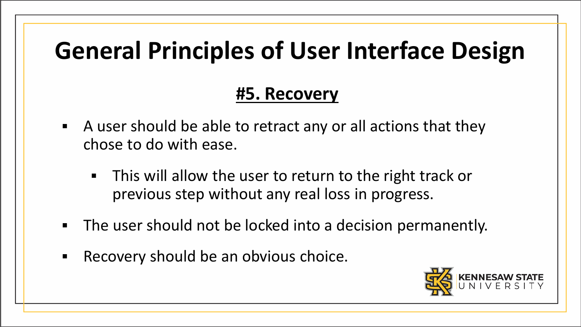#### **#5. Recovery**

- A user should be able to retract any or all actions that they chose to do with ease.
	- This will allow the user to return to the right track or previous step without any real loss in progress.
- The user should not be locked into a decision permanently.
- Recovery should be an obvious choice.

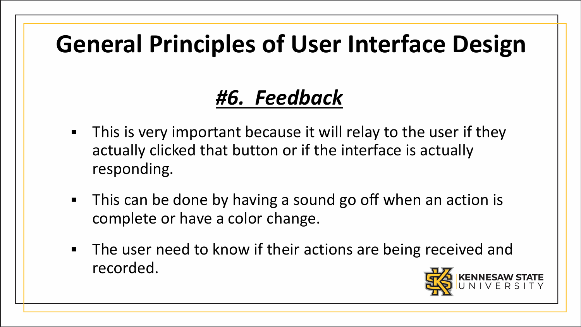#### *#6. Feedback*

- **This is very important because it will relay to the user if they** actually clicked that button or if the interface is actually responding.
- This can be done by having a sound go off when an action is complete or have a color change.
- **The user need to know if their actions are being received and** recorded.

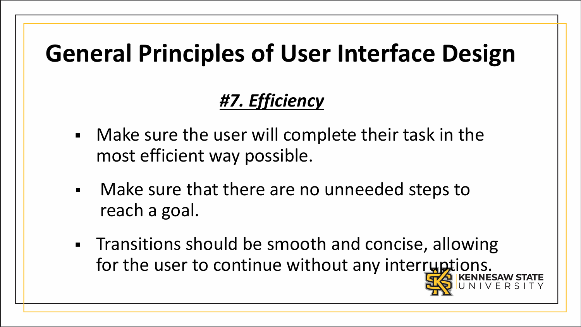#### *#7. Efficiency*

- Make sure the user will complete their task in the most efficient way possible.
- Make sure that there are no unneeded steps to reach a goal.
- Transitions should be smooth and concise, allowing for the user to continue without any interruptions.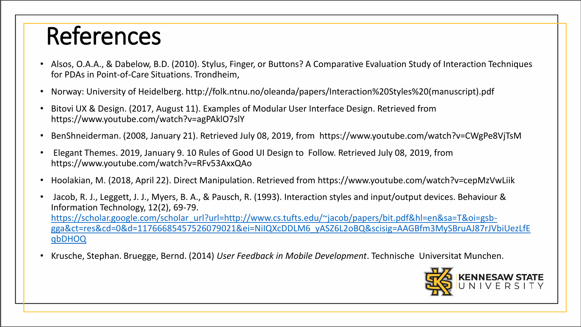### References

- Alsos, O.A.A., & Dabelow, B.D. (2010). Stylus, Finger, or Buttons? A Comparative Evaluation Study of Interaction Techniques for PDAs in Point-of-Care Situations. Trondheim,
- Norway: University of Heidelberg. http://folk.ntnu.no/oleanda/papers/Interaction%20Styles%20(manuscript).pdf
- Bitovi UX & Design. (2017, August 11). Examples of Modular User Interface Design. Retrieved from https://www.youtube.com/watch?v=agPAklO7slY
- BenShneiderman. (2008, January 21). Retrieved July 08, 2019, from https://www.youtube.com/watch?v=CWgPe8VjTsM
- Elegant Themes. 2019, January 9. 10 Rules of Good UI Design to Follow. Retrieved July 08, 2019, from https://www.youtube.com/watch?v=RFv53AxxQAo
- Hoolakian, M. (2018, April 22). Direct Manipulation. Retrieved from https://www.youtube.com/watch?v=cepMzVwLiik
- Jacob, R. J., Leggett, J. J., Myers, B. A., & Pausch, R. (1993). Interaction styles and input/output devices. Behaviour & Information Technology, 12(2), 69-79. https://scholar.google.com/scholar\_url?url=http://www.cs.tufts.edu/~jacob/papers/bit.pdf&hl=en&sa=T&oi=gsb[gga&ct=res&cd=0&d=11766685457526079021&ei=NiIQXcDDLM6\\_yASZ6L2oBQ&scisig=AAGBfm3MySBruAJ87rJVbiUezLfE](https://scholar.google.com/scholar_url?url=http://www.cs.tufts.edu/~jacob/papers/bit.pdf&hl=en&sa=T&oi=gsb-gga&ct=res&cd=0&d=11766685457526079021&ei=NiIQXcDDLM6_yASZ6L2oBQ&scisig=AAGBfm3MySBruAJ87rJVbiUezLfEqbDHOQ) qbDHOQ
- Krusche, Stephan. Bruegge, Bernd. (2014) *User Feedback in Mobile Development*. Technische Universitat Munchen.